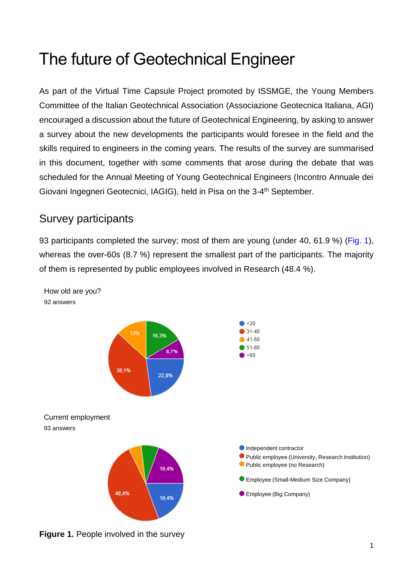# The future of Geotechnical Engineer

As part of the Virtual Time Capsule Project promoted by ISSMGE, the Young Members Committee of the Italian Geotechnical Association (Associazione Geotecnica Italiana, AGI) encouraged a discussion about the future of Geotechnical Engineering, by asking to answer a survey about the new developments the participants would foresee in the field and the skills required to engineers in the coming years. The results of the survey are summarised in this document, together with some comments that arose during the debate that was scheduled for the Annual Meeting of Young Geotechnical Engineers (Incontro Annuale dei Giovani Ingegneri Geotecnici, IAGIG), held in Pisa on the 3-4<sup>th</sup> September.

#### Survey participants

93 participants completed the survey; most of them are young (under 40, 61.9 %) (Fig. 1), whereas the over-60s (8.7 %) represent the smallest part of the participants. The majority of them is represented by public employees involved in Research (48.4 %).

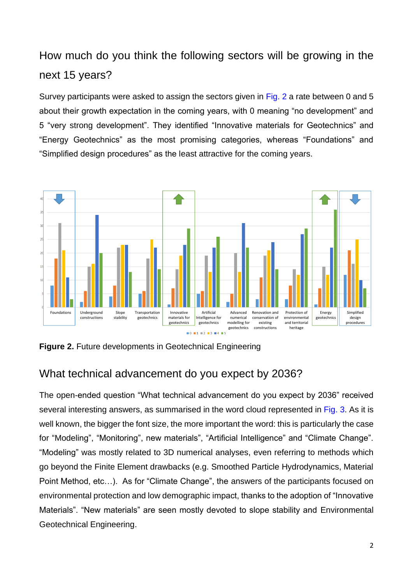## How much do you think the following sectors will be growing in the next 15 years?

Survey participants were asked to assign the sectors given in Fig. 2 a rate between 0 and 5 about their growth expectation in the coming years, with 0 meaning "no development" and 5 "very strong development". They identified "Innovative materials for Geotechnics" and "Energy Geotechnics" as the most promising categories, whereas "Foundations" and "Simplified design procedures" as the least attractive for the coming years.



**Figure 2.** Future developments in Geotechnical Engineering

### What technical advancement do you expect by 2036?

The open-ended question "What technical advancement do you expect by 2036" received several interesting answers, as summarised in the word cloud represented in Fig. 3. As it is well known, the bigger the font size, the more important the word: this is particularly the case for "Modeling", "Monitoring", new materials", "Artificial Intelligence" and "Climate Change". "Modeling" was mostly related to 3D numerical analyses, even referring to methods which go beyond the Finite Element drawbacks (e.g. Smoothed Particle Hydrodynamics, Material Point Method, etc…). As for "Climate Change", the answers of the participants focused on environmental protection and low demographic impact, thanks to the adoption of "Innovative Materials". "New materials" are seen mostly devoted to slope stability and Environmental Geotechnical Engineering.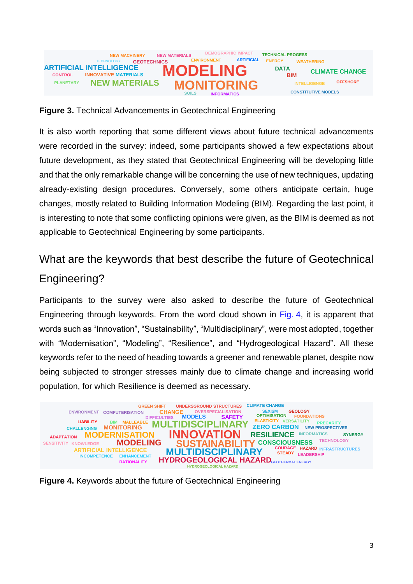

**Figure 3.** Technical Advancements in Geotechnical Engineering

It is also worth reporting that some different views about future technical advancements were recorded in the survey: indeed, some participants showed a few expectations about future development, as they stated that Geotechnical Engineering will be developing little and that the only remarkable change will be concerning the use of new techniques, updating already-existing design procedures. Conversely, some others anticipate certain, huge changes, mostly related to Building Information Modeling (BIM). Regarding the last point, it is interesting to note that some conflicting opinions were given, as the BIM is deemed as not applicable to Geotechnical Engineering by some participants.

## What are the keywords that best describe the future of Geotechnical Engineering?

Participants to the survey were also asked to describe the future of Geotechnical Engineering through keywords. From the word cloud shown in Fig. 4, it is apparent that words such as "Innovation", "Sustainability", "Multidisciplinary", were most adopted, together with "Modernisation", "Modeling", "Resilience", and "Hydrogeological Hazard". All these keywords refer to the need of heading towards a greener and renewable planet, despite now being subjected to stronger stresses mainly due to climate change and increasing world population, for which Resilience is deemed as necessary.



**Figure 4.** Keywords about the future of Geotechnical Engineering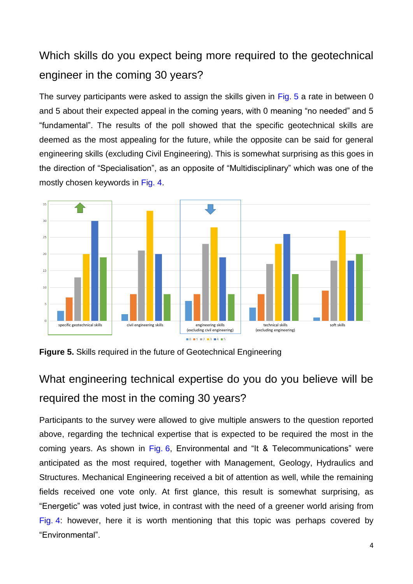## Which skills do you expect being more required to the geotechnical engineer in the coming 30 years?

The survey participants were asked to assign the skills given in Fig. 5 a rate in between 0 and 5 about their expected appeal in the coming years, with 0 meaning "no needed" and 5 "fundamental". The results of the poll showed that the specific geotechnical skills are deemed as the most appealing for the future, while the opposite can be said for general engineering skills (excluding Civil Engineering). This is somewhat surprising as this goes in the direction of "Specialisation", as an opposite of "Multidisciplinary" which was one of the mostly chosen keywords in Fig. 4.



**Figure 5.** Skills required in the future of Geotechnical Engineering

## What engineering technical expertise do you do you believe will be required the most in the coming 30 years?

Participants to the survey were allowed to give multiple answers to the question reported above, regarding the technical expertise that is expected to be required the most in the coming years. As shown in Fig. 6, Environmental and "It & Telecommunications" were anticipated as the most required, together with Management, Geology, Hydraulics and Structures. Mechanical Engineering received a bit of attention as well, while the remaining fields received one vote only. At first glance, this result is somewhat surprising, as "Energetic" was voted just twice, in contrast with the need of a greener world arising from Fig. 4: however, here it is worth mentioning that this topic was perhaps covered by "Environmental".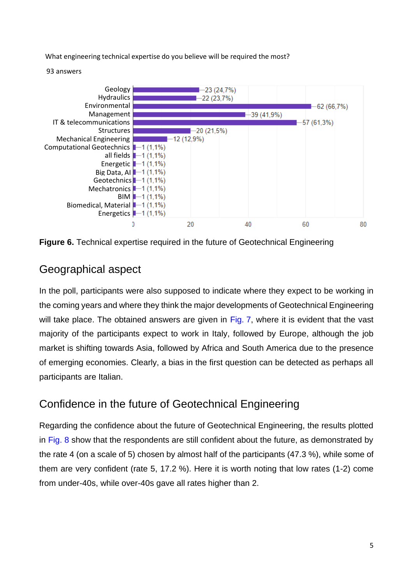What engineering technical expertise do you believe will be required the most?



**Figure 6.** Technical expertise required in the future of Geotechnical Engineering

### Geographical aspect

93 answers

In the poll, participants were also supposed to indicate where they expect to be working in the coming years and where they think the major developments of Geotechnical Engineering will take place. The obtained answers are given in Fig. 7, where it is evident that the vast majority of the participants expect to work in Italy, followed by Europe, although the job market is shifting towards Asia, followed by Africa and South America due to the presence of emerging economies. Clearly, a bias in the first question can be detected as perhaps all participants are Italian.

### Confidence in the future of Geotechnical Engineering

Regarding the confidence about the future of Geotechnical Engineering, the results plotted in Fig.  $8$  show that the respondents are still confident about the future, as demonstrated by the rate 4 (on a scale of 5) chosen by almost half of the participants (47.3 %), while some of them are very confident (rate 5, 17.2 %). Here it is worth noting that low rates (1-2) come from under-40s, while over-40s gave all rates higher than 2.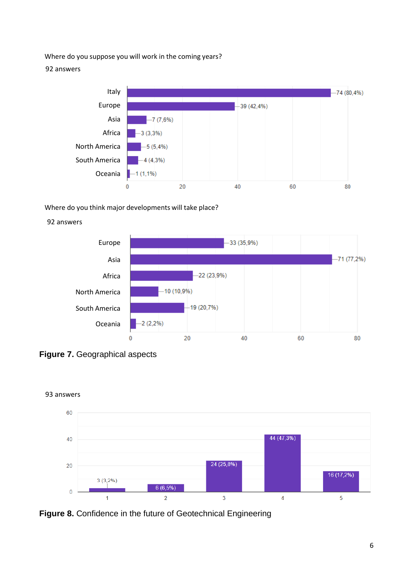Where do you suppose you will work in the coming years?

#### 92 answers



#### Where do you think major developments will take place?









#### **Figure 8.** Confidence in the future of Geotechnical Engineering